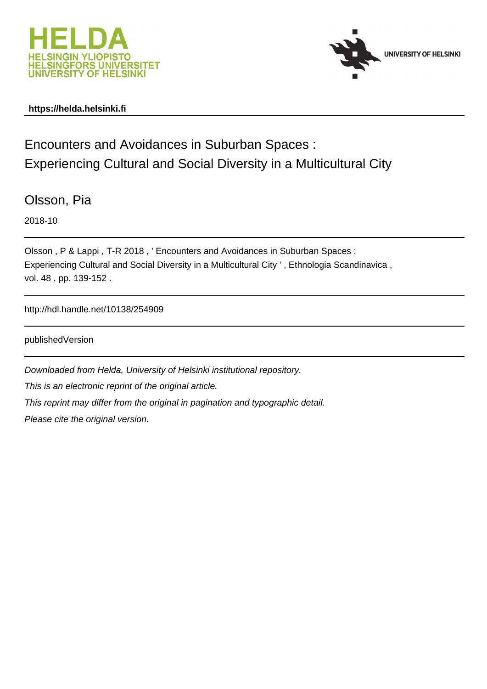



## **https://helda.helsinki.fi**

Encounters and Avoidances in Suburban Spaces : Experiencing Cultural and Social Diversity in a Multicultural City

Olsson, Pia

2018-10

Olsson , P & Lappi , T-R 2018 , ' Encounters and Avoidances in Suburban Spaces : Experiencing Cultural and Social Diversity in a Multicultural City ' , Ethnologia Scandinavica , vol. 48 , pp. 139-152 .

http://hdl.handle.net/10138/254909

publishedVersion

Downloaded from Helda, University of Helsinki institutional repository.

This is an electronic reprint of the original article.

This reprint may differ from the original in pagination and typographic detail.

Please cite the original version.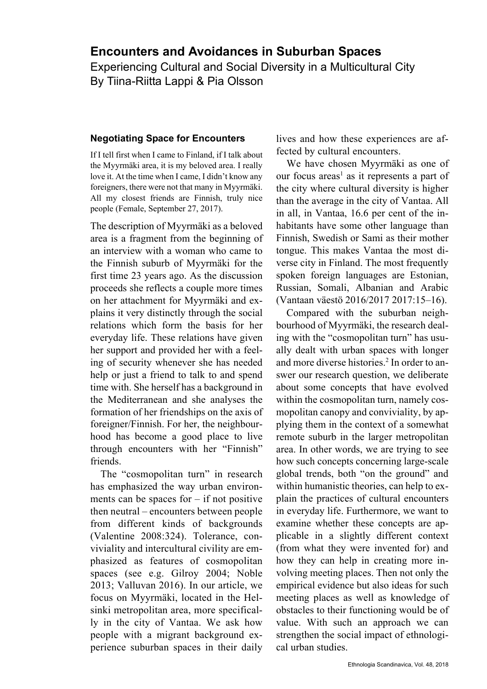# **Encounters and Avoidances in Suburban Spaces**

Experiencing Cultural and Social Diversity in a Multicultural City By Tiina-Riitta Lappi & Pia Olsson

## **Negotiating Space for Encounters**

If I tell first when I came to Finland, if I talk about the Myyrmäki area, it is my beloved area. I really love it. At the time when I came, I didn't know any foreigners, there were not that many in Myyrmäki. All my closest friends are Finnish, truly nice people (Female, September 27, 2017).

The description of Myyrmäki as a beloved area is a fragment from the beginning of an interview with a woman who came to the Finnish suburb of Myyrmäki for the first time 23 years ago. As the discussion proceeds she reflects a couple more times on her attachment for Myyrmäki and explains it very distinctly through the social relations which form the basis for her everyday life. These relations have given her support and provided her with a feeling of security whenever she has needed help or just a friend to talk to and spend time with. She herself has a background in the Mediterranean and she analyses the formation of her friendships on the axis of foreigner/Finnish. For her, the neighbourhood has become a good place to live through encounters with her "Finnish" friends.

The "cosmopolitan turn" in research has emphasized the way urban environments can be spaces for  $-$  if not positive then neutral – encounters between people from different kinds of backgrounds (Valentine 2008:324). Tolerance, conviviality and intercultural civility are emphasized as features of cosmopolitan spaces (see e.g. Gilroy 2004; Noble 2013; Valluvan 2016). In our article, we focus on Myyrmäki, located in the Helsinki metropolitan area, more specifically in the city of Vantaa. We ask how people with a migrant background experience suburban spaces in their daily lives and how these experiences are affected by cultural encounters.

We have chosen Myyrmäki as one of our focus areas<sup>1</sup> as it represents a part of the city where cultural diversity is higher than the average in the city of Vantaa. All in all, in Vantaa, 16.6 per cent of the inhabitants have some other language than Finnish, Swedish or Sami as their mother tongue. This makes Vantaa the most diverse city in Finland. The most frequently spoken foreign languages are Estonian, Russian, Somali, Albanian and Arabic (Vantaan väestö 2016/2017 2017:15–16).

Compared with the suburban neighbourhood of Myyrmäki, the research dealing with the "cosmopolitan turn" has usually dealt with urban spaces with longer and more diverse histories.<sup>2</sup> In order to answer our research question, we deliberate about some concepts that have evolved within the cosmopolitan turn, namely cosmopolitan canopy and conviviality, by applying them in the context of a somewhat remote suburb in the larger metropolitan area. In other words, we are trying to see how such concepts concerning large-scale global trends, both "on the ground" and within humanistic theories, can help to explain the practices of cultural encounters in everyday life. Furthermore, we want to examine whether these concepts are applicable in a slightly different context (from what they were invented for) and how they can help in creating more involving meeting places. Then not only the empirical evidence but also ideas for such meeting places as well as knowledge of obstacles to their functioning would be of value. With such an approach we can strengthen the social impact of ethnological urban studies.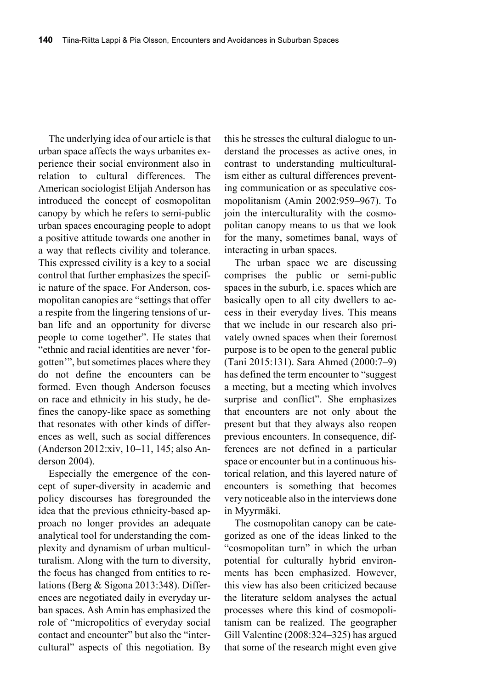The underlying idea of our article is that urban space affects the ways urbanites experience their social environment also in relation to cultural differences. The American sociologist Elijah Anderson has introduced the concept of cosmopolitan canopy by which he refers to semi-public urban spaces encouraging people to adopt a positive attitude towards one another in a way that reflects civility and tolerance. This expressed civility is a key to a social control that further emphasizes the specific nature of the space. For Anderson, cosmopolitan canopies are "settings that offer a respite from the lingering tensions of urban life and an opportunity for diverse people to come together". He states that "ethnic and racial identities are never 'forgotten'", but sometimes places where they do not define the encounters can be formed. Even though Anderson focuses on race and ethnicity in his study, he defines the canopy-like space as something that resonates with other kinds of differences as well, such as social differences (Anderson 2012:xiv, 10–11, 145; also Anderson 2004).

Especially the emergence of the concept of super-diversity in academic and policy discourses has foregrounded the idea that the previous ethnicity-based approach no longer provides an adequate analytical tool for understanding the complexity and dynamism of urban multiculturalism. Along with the turn to diversity, the focus has changed from entities to relations (Berg & Sigona 2013:348). Differences are negotiated daily in everyday urban spaces. Ash Amin has emphasized the role of "micropolitics of everyday social contact and encounter" but also the "intercultural" aspects of this negotiation. By

this he stresses the cultural dialogue to understand the processes as active ones, in contrast to understanding multiculturalism either as cultural differences preventing communication or as speculative cosmopolitanism (Amin 2002:959–967). To join the interculturality with the cosmopolitan canopy means to us that we look for the many, sometimes banal, ways of interacting in urban spaces.

The urban space we are discussing comprises the public or semi-public spaces in the suburb, i.e. spaces which are basically open to all city dwellers to access in their everyday lives. This means that we include in our research also privately owned spaces when their foremost purpose is to be open to the general public (Tani 2015:131). Sara Ahmed (2000:7–9) has defined the term encounter to "suggest a meeting, but a meeting which involves surprise and conflict". She emphasizes that encounters are not only about the present but that they always also reopen previous encounters. In consequence, differences are not defined in a particular space or encounter but in a continuous historical relation, and this layered nature of encounters is something that becomes very noticeable also in the interviews done in Myyrmäki.

The cosmopolitan canopy can be categorized as one of the ideas linked to the "cosmopolitan turn" in which the urban potential for culturally hybrid environments has been emphasized. However, this view has also been criticized because the literature seldom analyses the actual processes where this kind of cosmopolitanism can be realized. The geographer Gill Valentine (2008:324–325) has argued that some of the research might even give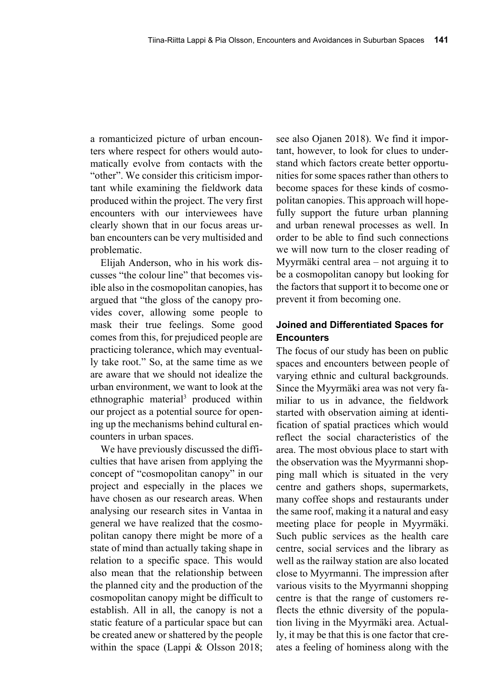a romanticized picture of urban encounters where respect for others would automatically evolve from contacts with the "other". We consider this criticism important while examining the fieldwork data produced within the project. The very first encounters with our interviewees have clearly shown that in our focus areas urban encounters can be very multisided and problematic.

Elijah Anderson, who in his work discusses "the colour line" that becomes visible also in the cosmopolitan canopies, has argued that "the gloss of the canopy provides cover, allowing some people to mask their true feelings. Some good comes from this, for prejudiced people are practicing tolerance, which may eventually take root." So, at the same time as we are aware that we should not idealize the urban environment, we want to look at the ethnographic material<sup>3</sup> produced within our project as a potential source for opening up the mechanisms behind cultural encounters in urban spaces.

We have previously discussed the difficulties that have arisen from applying the concept of "cosmopolitan canopy" in our project and especially in the places we have chosen as our research areas. When analysing our research sites in Vantaa in general we have realized that the cosmopolitan canopy there might be more of a state of mind than actually taking shape in relation to a specific space. This would also mean that the relationship between the planned city and the production of the cosmopolitan canopy might be difficult to establish. All in all, the canopy is not a static feature of a particular space but can be created anew or shattered by the people within the space (Lappi & Olsson 2018;

see also Ojanen 2018). We find it important, however, to look for clues to understand which factors create better opportunities for some spaces rather than others to become spaces for these kinds of cosmopolitan canopies. This approach will hopefully support the future urban planning and urban renewal processes as well. In order to be able to find such connections we will now turn to the closer reading of Myyrmäki central area – not arguing it to be a cosmopolitan canopy but looking for the factors that support it to become one or prevent it from becoming one.

# **Joined and Differentiated Spaces for Encounters**

The focus of our study has been on public spaces and encounters between people of varying ethnic and cultural backgrounds. Since the Myyrmäki area was not very familiar to us in advance, the fieldwork started with observation aiming at identification of spatial practices which would reflect the social characteristics of the area. The most obvious place to start with the observation was the Myyrmanni shopping mall which is situated in the very centre and gathers shops, supermarkets, many coffee shops and restaurants under the same roof, making it a natural and easy meeting place for people in Myyrmäki. Such public services as the health care centre, social services and the library as well as the railway station are also located close to Myyrmanni. The impression after various visits to the Myyrmanni shopping centre is that the range of customers reflects the ethnic diversity of the population living in the Myyrmäki area. Actually, it may be that this is one factor that creates a feeling of hominess along with the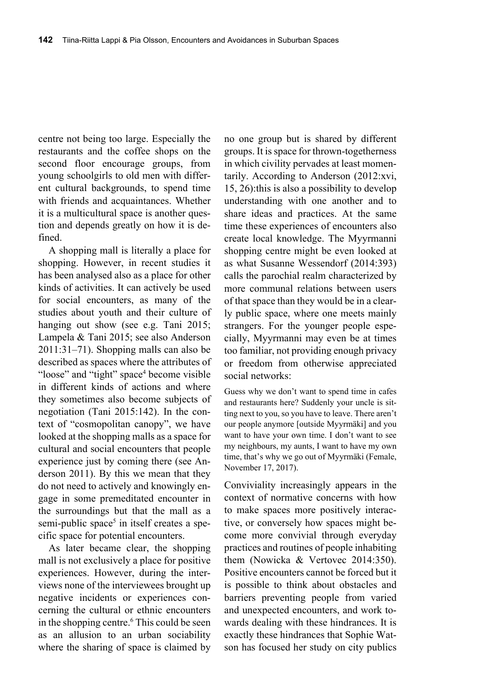centre not being too large. Especially the restaurants and the coffee shops on the second floor encourage groups, from young schoolgirls to old men with different cultural backgrounds, to spend time with friends and acquaintances. Whether it is a multicultural space is another question and depends greatly on how it is defined.

A shopping mall is literally a place for shopping. However, in recent studies it has been analysed also as a place for other kinds of activities. It can actively be used for social encounters, as many of the studies about youth and their culture of hanging out show (see e.g. Tani 2015; Lampela & Tani 2015; see also Anderson 2011:31–71). Shopping malls can also be described as spaces where the attributes of "loose" and "tight" space<sup>4</sup> become visible in different kinds of actions and where they sometimes also become subjects of negotiation (Tani 2015:142). In the context of "cosmopolitan canopy", we have looked at the shopping malls as a space for cultural and social encounters that people experience just by coming there (see Anderson 2011). By this we mean that they do not need to actively and knowingly engage in some premeditated encounter in the surroundings but that the mall as a semi-public space<sup>5</sup> in itself creates a specific space for potential encounters.

As later became clear, the shopping mall is not exclusively a place for positive experiences. However, during the interviews none of the interviewees brought up negative incidents or experiences concerning the cultural or ethnic encounters in the shopping centre.<sup>6</sup> This could be seen as an allusion to an urban sociability where the sharing of space is claimed by

no one group but is shared by different groups. It is space for thrown-togetherness in which civility pervades at least momentarily. According to Anderson (2012:xvi, 15, 26):this is also a possibility to develop understanding with one another and to share ideas and practices. At the same time these experiences of encounters also create local knowledge. The Myyrmanni shopping centre might be even looked at as what Susanne Wessendorf (2014:393) calls the parochial realm characterized by more communal relations between users of that space than they would be in a clearly public space, where one meets mainly strangers. For the younger people especially, Myyrmanni may even be at times too familiar, not providing enough privacy or freedom from otherwise appreciated social networks:

Guess why we don't want to spend time in cafes and restaurants here? Suddenly your uncle is sitting next to you, so you have to leave. There aren't our people anymore [outside Myyrmäki] and you want to have your own time. I don't want to see my neighbours, my aunts, I want to have my own time, that's why we go out of Myyrmäki (Female, November 17, 2017).

Conviviality increasingly appears in the context of normative concerns with how to make spaces more positively interactive, or conversely how spaces might become more convivial through everyday practices and routines of people inhabiting them (Nowicka & Vertovec 2014:350). Positive encounters cannot be forced but it is possible to think about obstacles and barriers preventing people from varied and unexpected encounters, and work towards dealing with these hindrances. It is exactly these hindrances that Sophie Watson has focused her study on city publics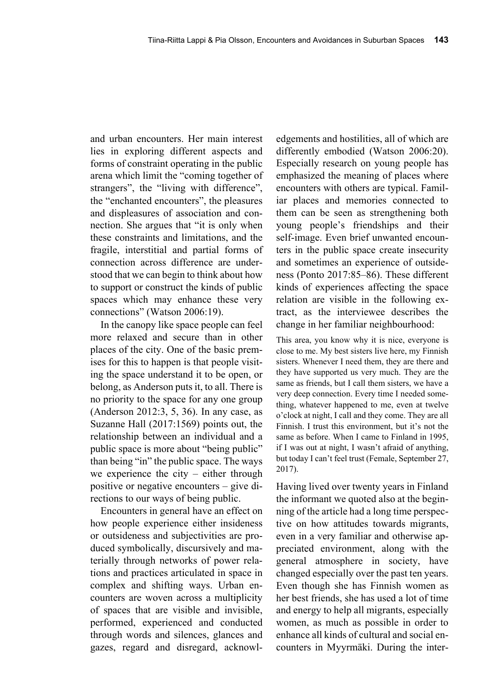and urban encounters. Her main interest lies in exploring different aspects and forms of constraint operating in the public arena which limit the "coming together of strangers", the "living with difference", the "enchanted encounters", the pleasures and displeasures of association and connection. She argues that "it is only when these constraints and limitations, and the fragile, interstitial and partial forms of connection across difference are understood that we can begin to think about how to support or construct the kinds of public spaces which may enhance these very connections" (Watson 2006:19).

In the canopy like space people can feel more relaxed and secure than in other places of the city. One of the basic premises for this to happen is that people visiting the space understand it to be open, or belong, as Anderson puts it, to all. There is no priority to the space for any one group (Anderson 2012:3, 5, 36). In any case, as Suzanne Hall (2017:1569) points out, the relationship between an individual and a public space is more about "being public" than being "in" the public space. The ways we experience the city – either through positive or negative encounters – give directions to our ways of being public.

Encounters in general have an effect on how people experience either insideness or outsideness and subjectivities are produced symbolically, discursively and materially through networks of power relations and practices articulated in space in complex and shifting ways. Urban encounters are woven across a multiplicity of spaces that are visible and invisible, performed, experienced and conducted through words and silences, glances and gazes, regard and disregard, acknowledgements and hostilities, all of which are differently embodied (Watson 2006:20). Especially research on young people has emphasized the meaning of places where encounters with others are typical. Familiar places and memories connected to them can be seen as strengthening both young people's friendships and their self-image. Even brief unwanted encounters in the public space create insecurity and sometimes an experience of outsideness (Ponto 2017:85–86). These different kinds of experiences affecting the space relation are visible in the following extract, as the interviewee describes the change in her familiar neighbourhood:

This area, you know why it is nice, everyone is close to me. My best sisters live here, my Finnish sisters. Whenever I need them, they are there and they have supported us very much. They are the same as friends, but I call them sisters, we have a very deep connection. Every time I needed something, whatever happened to me, even at twelve o'clock at night, I call and they come. They are all Finnish. I trust this environment, but it's not the same as before. When I came to Finland in 1995, if I was out at night, I wasn't afraid of anything, but today I can't feel trust (Female, September 27, 2017).

Having lived over twenty years in Finland the informant we quoted also at the beginning of the article had a long time perspective on how attitudes towards migrants, even in a very familiar and otherwise appreciated environment, along with the general atmosphere in society, have changed especially over the past ten years. Even though she has Finnish women as her best friends, she has used a lot of time and energy to help all migrants, especially women, as much as possible in order to enhance all kinds of cultural and social encounters in Myyrmäki. During the inter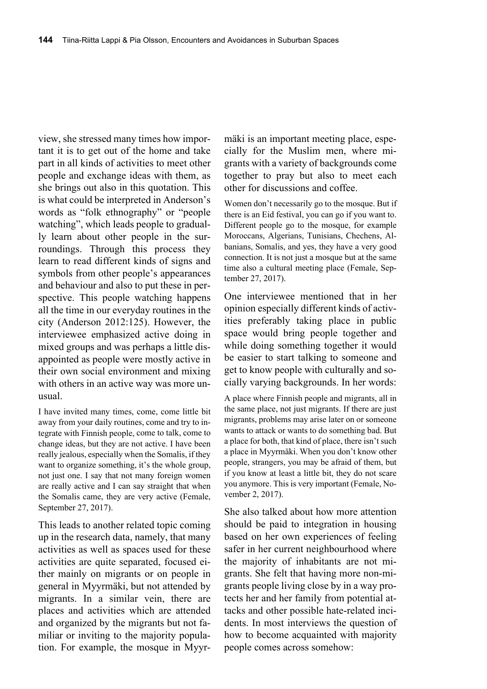view, she stressed many times how important it is to get out of the home and take part in all kinds of activities to meet other people and exchange ideas with them, as she brings out also in this quotation. This is what could be interpreted in Anderson's words as "folk ethnography" or "people watching", which leads people to gradually learn about other people in the surroundings. Through this process they learn to read different kinds of signs and symbols from other people's appearances and behaviour and also to put these in perspective. This people watching happens all the time in our everyday routines in the city (Anderson 2012:125). However, the interviewee emphasized active doing in mixed groups and was perhaps a little disappointed as people were mostly active in their own social environment and mixing with others in an active way was more unusual.

I have invited many times, come, come little bit away from your daily routines, come and try to integrate with Finnish people, come to talk, come to change ideas, but they are not active. I have been really jealous, especially when the Somalis, if they want to organize something, it's the whole group, not just one. I say that not many foreign women are really active and I can say straight that when the Somalis came, they are very active (Female, September 27, 2017).

This leads to another related topic coming up in the research data, namely, that many activities as well as spaces used for these activities are quite separated, focused either mainly on migrants or on people in general in Myyrmäki, but not attended by migrants. In a similar vein, there are places and activities which are attended and organized by the migrants but not familiar or inviting to the majority population. For example, the mosque in Myyrmäki is an important meeting place, especially for the Muslim men, where migrants with a variety of backgrounds come together to pray but also to meet each other for discussions and coffee.

Women don't necessarily go to the mosque. But if there is an Eid festival, you can go if you want to. Different people go to the mosque, for example Moroccans, Algerians, Tunisians, Chechens, Albanians, Somalis, and yes, they have a very good connection. It is not just a mosque but at the same time also a cultural meeting place (Female, September 27, 2017).

One interviewee mentioned that in her opinion especially different kinds of activities preferably taking place in public space would bring people together and while doing something together it would be easier to start talking to someone and get to know people with culturally and socially varying backgrounds. In her words:

A place where Finnish people and migrants, all in the same place, not just migrants. If there are just migrants, problems may arise later on or someone wants to attack or wants to do something bad. But a place for both, that kind of place, there isn't such a place in Myyrmäki. When you don't know other people, strangers, you may be afraid of them, but if you know at least a little bit, they do not scare you anymore. This is very important (Female, November 2, 2017).

She also talked about how more attention should be paid to integration in housing based on her own experiences of feeling safer in her current neighbourhood where the majority of inhabitants are not migrants. She felt that having more non-migrants people living close by in a way protects her and her family from potential attacks and other possible hate-related incidents. In most interviews the question of how to become acquainted with majority people comes across somehow: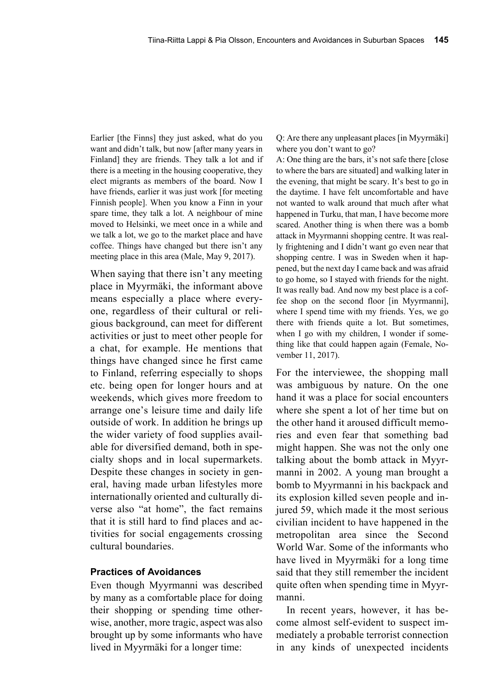Earlier [the Finns] they just asked, what do you want and didn't talk, but now [after many years in Finland] they are friends. They talk a lot and if there is a meeting in the housing cooperative, they elect migrants as members of the board. Now I have friends, earlier it was just work [for meeting Finnish people]. When you know a Finn in your spare time, they talk a lot. A neighbour of mine moved to Helsinki, we meet once in a while and we talk a lot, we go to the market place and have coffee. Things have changed but there isn't any meeting place in this area (Male, May 9, 2017).

When saying that there isn't any meeting place in Myyrmäki, the informant above means especially a place where everyone, regardless of their cultural or religious background, can meet for different activities or just to meet other people for a chat, for example. He mentions that things have changed since he first came to Finland, referring especially to shops etc. being open for longer hours and at weekends, which gives more freedom to arrange one's leisure time and daily life outside of work. In addition he brings up the wider variety of food supplies available for diversified demand, both in specialty shops and in local supermarkets. Despite these changes in society in general, having made urban lifestyles more internationally oriented and culturally diverse also "at home", the fact remains that it is still hard to find places and activities for social engagements crossing cultural boundaries.

## **Practices of Avoidances**

Even though Myyrmanni was described by many as a comfortable place for doing their shopping or spending time otherwise, another, more tragic, aspect was also brought up by some informants who have lived in Myyrmäki for a longer time:

Q: Are there any unpleasant places [in Myyrmäki] where you don't want to go?

A: One thing are the bars, it's not safe there [close to where the bars are situated] and walking later in the evening, that might be scary. It's best to go in the daytime. I have felt uncomfortable and have not wanted to walk around that much after what happened in Turku, that man, I have become more scared. Another thing is when there was a bomb attack in Myyrmanni shopping centre. It was really frightening and I didn't want go even near that shopping centre. I was in Sweden when it happened, but the next day I came back and was afraid to go home, so I stayed with friends for the night. It was really bad. And now my best place is a coffee shop on the second floor [in Myyrmanni], where I spend time with my friends. Yes, we go there with friends quite a lot. But sometimes, when I go with my children, I wonder if something like that could happen again (Female, November 11, 2017).

For the interviewee, the shopping mall was ambiguous by nature. On the one hand it was a place for social encounters where she spent a lot of her time but on the other hand it aroused difficult memories and even fear that something bad might happen. She was not the only one talking about the bomb attack in Myyrmanni in 2002. A young man brought a bomb to Myyrmanni in his backpack and its explosion killed seven people and injured 59, which made it the most serious civilian incident to have happened in the metropolitan area since the Second World War. Some of the informants who have lived in Myyrmäki for a long time said that they still remember the incident quite often when spending time in Myyrmanni.

In recent years, however, it has become almost self-evident to suspect immediately a probable terrorist connection in any kinds of unexpected incidents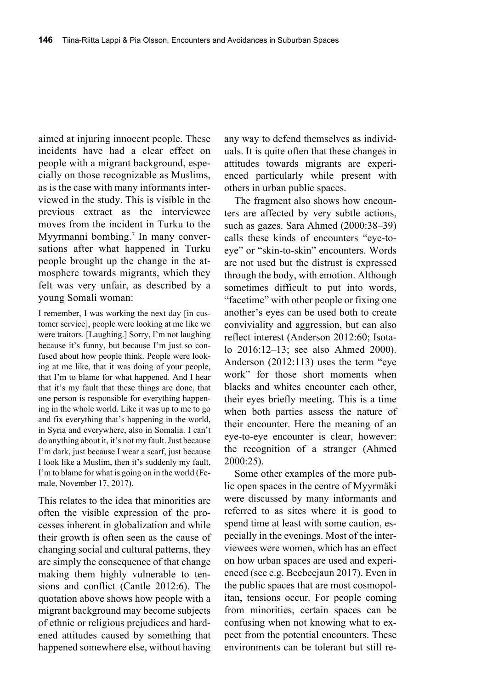aimed at injuring innocent people. These incidents have had a clear effect on people with a migrant background, especially on those recognizable as Muslims, as is the case with many informants interviewed in the study. This is visible in the previous extract as the interviewee moves from the incident in Turku to the Myyrmanni bombing.<sup>7</sup> In many conversations after what happened in Turku people brought up the change in the atmosphere towards migrants, which they felt was very unfair, as described by a young Somali woman:

I remember, I was working the next day [in customer service], people were looking at me like we were traitors. [Laughing.] Sorry, I'm not laughing because it's funny, but because I'm just so confused about how people think. People were looking at me like, that it was doing of your people, that I'm to blame for what happened. And I hear that it's my fault that these things are done, that one person is responsible for everything happening in the whole world. Like it was up to me to go and fix everything that's happening in the world, in Syria and everywhere, also in Somalia. I can't do anything about it, it's not my fault. Just because I'm dark, just because I wear a scarf, just because I look like a Muslim, then it's suddenly my fault, I'm to blame for what is going on in the world (Female, November 17, 2017).

This relates to the idea that minorities are often the visible expression of the processes inherent in globalization and while their growth is often seen as the cause of changing social and cultural patterns, they are simply the consequence of that change making them highly vulnerable to tensions and conflict (Cantle 2012:6). The quotation above shows how people with a migrant background may become subjects of ethnic or religious prejudices and hardened attitudes caused by something that happened somewhere else, without having

any way to defend themselves as individuals. It is quite often that these changes in attitudes towards migrants are experienced particularly while present with others in urban public spaces.

The fragment also shows how encounters are affected by very subtle actions, such as gazes. Sara Ahmed (2000:38–39) calls these kinds of encounters "eye-toeye" or "skin-to-skin" encounters. Words are not used but the distrust is expressed through the body, with emotion. Although sometimes difficult to put into words, "facetime" with other people or fixing one another's eyes can be used both to create conviviality and aggression, but can also reflect interest (Anderson 2012:60; Isotalo 2016:12–13; see also Ahmed 2000). Anderson (2012:113) uses the term "eye work" for those short moments when blacks and whites encounter each other, their eyes briefly meeting. This is a time when both parties assess the nature of their encounter. Here the meaning of an eye-to-eye encounter is clear, however: the recognition of a stranger (Ahmed 2000:25).

Some other examples of the more public open spaces in the centre of Myyrmäki were discussed by many informants and referred to as sites where it is good to spend time at least with some caution, especially in the evenings. Most of the interviewees were women, which has an effect on how urban spaces are used and experienced (see e.g. Beebeejaun 2017). Even in the public spaces that are most cosmopolitan, tensions occur. For people coming from minorities, certain spaces can be confusing when not knowing what to expect from the potential encounters. These environments can be tolerant but still re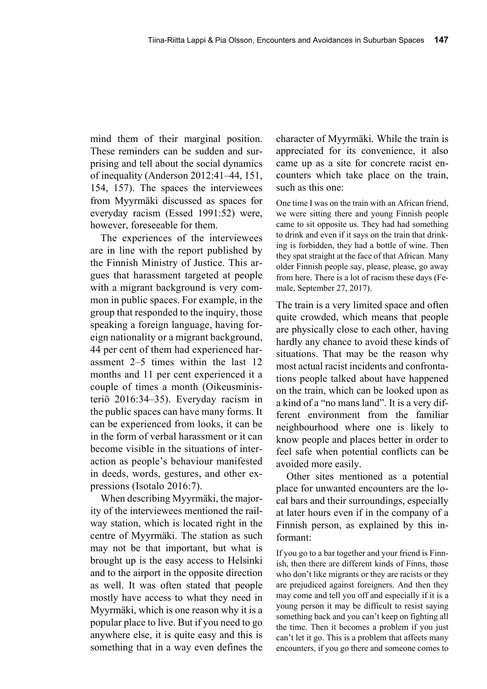mind them of their marginal position. These reminders can be sudden and surprising and tell about the social dynamics of inequality (Anderson 2012:41–44, 151, 154, 157). The spaces the interviewees from Myyrmäki discussed as spaces for everyday racism (Essed 1991:52) were, however, foreseeable for them.

The experiences of the interviewees are in line with the report published by the Finnish Ministry of Justice. This argues that harassment targeted at people with a migrant background is very common in public spaces. For example, in the group that responded to the inquiry, those speaking a foreign language, having foreign nationality or a migrant background, 44 per cent of them had experienced harassment 2–5 times within the last 12 months and 11 per cent experienced it a couple of times a month (Oikeusministeriö 2016:34–35). Everyday racism in the public spaces can have many forms. It can be experienced from looks, it can be in the form of verbal harassment or it can become visible in the situations of interaction as people's behaviour manifested in deeds, words, gestures, and other expressions (Isotalo 2016:7).

When describing Myyrmäki, the majority of the interviewees mentioned the railway station, which is located right in the centre of Myyrmäki. The station as such may not be that important, but what is brought up is the easy access to Helsinki and to the airport in the opposite direction as well. It was often stated that people mostly have access to what they need in Myyrmäki, which is one reason why it is a popular place to live. But if you need to go anywhere else, it is quite easy and this is something that in a way even defines the

character of Myyrmäki. While the train is appreciated for its convenience, it also came up as a site for concrete racist encounters which take place on the train, such as this one:

One time I was on the train with an African friend, we were sitting there and young Finnish people came to sit opposite us. They had had something to drink and even if it says on the train that drinking is forbidden, they had a bottle of wine. Then they spat straight at the face of that African. Many older Finnish people say, please, please, go away from here. There is a lot of racism these days (Female, September 27, 2017).

The train is a very limited space and often quite crowded, which means that people are physically close to each other, having hardly any chance to avoid these kinds of situations. That may be the reason why most actual racist incidents and confrontations people talked about have happened on the train, which can be looked upon as a kind of a "no mans land". It is a very different environment from the familiar neighbourhood where one is likely to know people and places better in order to feel safe when potential conflicts can be avoided more easily.

Other sites mentioned as a potential place for unwanted encounters are the local bars and their surroundings, especially at later hours even if in the company of a Finnish person, as explained by this informant:

If you go to a bar together and your friend is Finnish, then there are different kinds of Finns, those who don't like migrants or they are racists or they are prejudiced against foreigners. And then they may come and tell you off and especially if it is a young person it may be difficult to resist saying something back and you can't keep on fighting all the time. Then it becomes a problem if you just can't let it go. This is a problem that affects many encounters, if you go there and someone comes to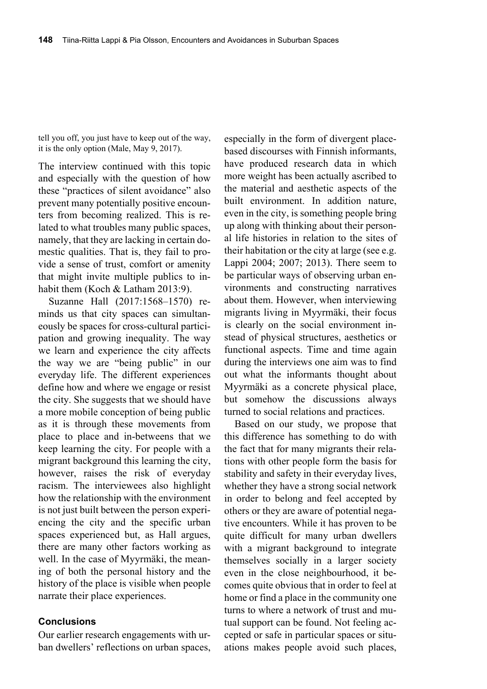tell you off, you just have to keep out of the way, it is the only option (Male, May 9, 2017).

The interview continued with this topic and especially with the question of how these "practices of silent avoidance" also prevent many potentially positive encounters from becoming realized. This is related to what troubles many public spaces, namely, that they are lacking in certain domestic qualities. That is, they fail to provide a sense of trust, comfort or amenity that might invite multiple publics to inhabit them (Koch & Latham 2013:9).

Suzanne Hall (2017:1568–1570) reminds us that city spaces can simultaneously be spaces for cross-cultural participation and growing inequality. The way we learn and experience the city affects the way we are "being public" in our everyday life. The different experiences define how and where we engage or resist the city. She suggests that we should have a more mobile conception of being public as it is through these movements from place to place and in-betweens that we keep learning the city. For people with a migrant background this learning the city, however, raises the risk of everyday racism. The interviewees also highlight how the relationship with the environment is not just built between the person experiencing the city and the specific urban spaces experienced but, as Hall argues, there are many other factors working as well. In the case of Myyrmäki, the meaning of both the personal history and the history of the place is visible when people narrate their place experiences.

### **Conclusions**

Our earlier research engagements with urban dwellers' reflections on urban spaces, especially in the form of divergent placebased discourses with Finnish informants, have produced research data in which more weight has been actually ascribed to the material and aesthetic aspects of the built environment. In addition nature, even in the city, is something people bring up along with thinking about their personal life histories in relation to the sites of their habitation or the city at large (see e.g. Lappi 2004; 2007; 2013). There seem to be particular ways of observing urban environments and constructing narratives about them. However, when interviewing migrants living in Myyrmäki, their focus is clearly on the social environment instead of physical structures, aesthetics or functional aspects. Time and time again during the interviews one aim was to find out what the informants thought about Myyrmäki as a concrete physical place, but somehow the discussions always turned to social relations and practices.

Based on our study, we propose that this difference has something to do with the fact that for many migrants their relations with other people form the basis for stability and safety in their everyday lives, whether they have a strong social network in order to belong and feel accepted by others or they are aware of potential negative encounters. While it has proven to be quite difficult for many urban dwellers with a migrant background to integrate themselves socially in a larger society even in the close neighbourhood, it becomes quite obvious that in order to feel at home or find a place in the community one turns to where a network of trust and mutual support can be found. Not feeling accepted or safe in particular spaces or situations makes people avoid such places,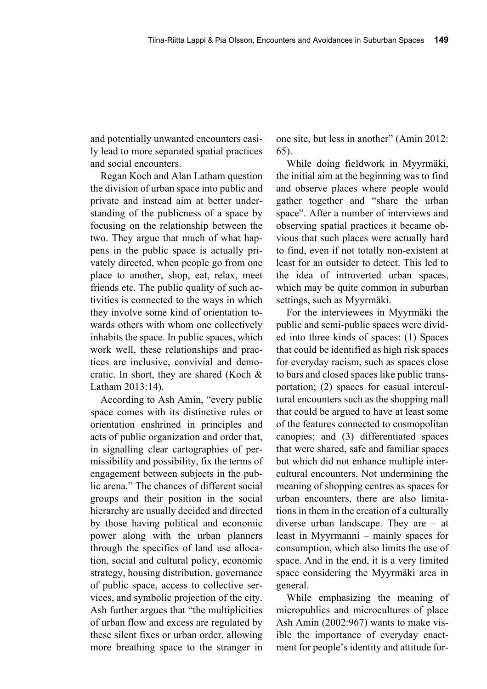and potentially unwanted encounters easily lead to more separated spatial practices and social encounters.

Regan Koch and Alan Latham question the division of urban space into public and private and instead aim at better understanding of the publicness of a space by focusing on the relationship between the two. They argue that much of what happens in the public space is actually privately directed, when people go from one place to another, shop, eat, relax, meet friends etc. The public quality of such activities is connected to the ways in which they involve some kind of orientation towards others with whom one collectively inhabits the space. In public spaces, which work well, these relationships and practices are inclusive, convivial and democratic. In short, they are shared (Koch & Latham 2013:14).

According to Ash Amin, "every public space comes with its distinctive rules or orientation enshrined in principles and acts of public organization and order that, in signalling clear cartographies of permissibility and possibility, fix the terms of engagement between subjects in the public arena." The chances of different social groups and their position in the social hierarchy are usually decided and directed by those having political and economic power along with the urban planners through the specifics of land use allocation, social and cultural policy, economic strategy, housing distribution, governance of public space, access to collective services, and symbolic projection of the city. Ash further argues that "the multiplicities of urban flow and excess are regulated by these silent fixes or urban order, allowing more breathing space to the stranger in

one site, but less in another" (Amin 2012: 65).

While doing fieldwork in Myyrmäki, the initial aim at the beginning was to find and observe places where people would gather together and "share the urban space". After a number of interviews and observing spatial practices it became obvious that such places were actually hard to find, even if not totally non-existent at least for an outsider to detect. This led to the idea of introverted urban spaces, which may be quite common in suburban settings, such as Myyrmäki.

For the interviewees in Myyrmäki the public and semi-public spaces were divided into three kinds of spaces: (1) Spaces that could be identified as high risk spaces for everyday racism, such as spaces close to bars and closed spaces like public transportation; (2) spaces for casual intercultural encounters such as the shopping mall that could be argued to have at least some of the features connected to cosmopolitan canopies; and (3) differentiated spaces that were shared, safe and familiar spaces but which did not enhance multiple intercultural encounters. Not undermining the meaning of shopping centres as spaces for urban encounters, there are also limitations in them in the creation of a culturally diverse urban landscape. They are – at least in Myyrmanni – mainly spaces for consumption, which also limits the use of space. And in the end, it is a very limited space considering the Myyrmäki area in general.

While emphasizing the meaning of micropublics and microcultures of place Ash Amin (2002:967) wants to make visible the importance of everyday enactment for people's identity and attitude for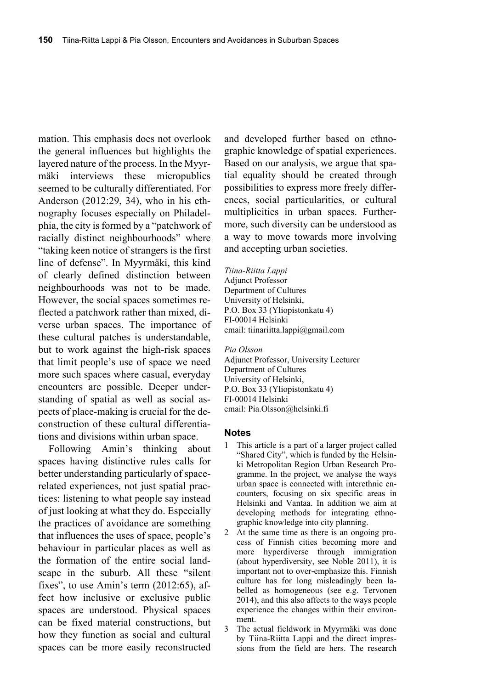mation. This emphasis does not overlook the general influences but highlights the layered nature of the process. In the Myyrmäki interviews these micropublics seemed to be culturally differentiated. For Anderson (2012:29, 34), who in his ethnography focuses especially on Philadelphia, the city is formed by a "patchwork of racially distinct neighbourhoods" where "taking keen notice of strangers is the first line of defense". In Myyrmäki, this kind of clearly defined distinction between neighbourhoods was not to be made. However, the social spaces sometimes reflected a patchwork rather than mixed, diverse urban spaces. The importance of these cultural patches is understandable, but to work against the high-risk spaces that limit people's use of space we need more such spaces where casual, everyday encounters are possible. Deeper understanding of spatial as well as social aspects of place-making is crucial for the deconstruction of these cultural differentiations and divisions within urban space.

Following Amin's thinking about spaces having distinctive rules calls for better understanding particularly of spacerelated experiences, not just spatial practices: listening to what people say instead of just looking at what they do. Especially the practices of avoidance are something that influences the uses of space, people's behaviour in particular places as well as the formation of the entire social landscape in the suburb. All these "silent fixes", to use Amin's term (2012:65), affect how inclusive or exclusive public spaces are understood. Physical spaces can be fixed material constructions, but how they function as social and cultural spaces can be more easily reconstructed

and developed further based on ethnographic knowledge of spatial experiences. Based on our analysis, we argue that spatial equality should be created through possibilities to express more freely differences, social particularities, or cultural multiplicities in urban spaces. Furthermore, such diversity can be understood as a way to move towards more involving and accepting urban societies.

*Tiina-Riitta Lappi*  Adjunct Professor Department of Cultures University of Helsinki, P.O. Box 33 (Yliopistonkatu 4) FI-00014 Helsinki email: tiinariitta.lappi@gmail.com

#### *Pia Olsson*

Adjunct Professor, University Lecturer Department of Cultures University of Helsinki, P.O. Box 33 (Yliopistonkatu 4) FI-00014 Helsinki email: Pia.Olsson@helsinki.fi

#### **Notes**

- 1 This article is a part of a larger project called "Shared City", which is funded by the Helsinki Metropolitan Region Urban Research Programme. In the project, we analyse the ways urban space is connected with interethnic encounters, focusing on six specific areas in Helsinki and Vantaa. In addition we aim at developing methods for integrating ethnographic knowledge into city planning.
- 2 At the same time as there is an ongoing process of Finnish cities becoming more and more hyperdiverse through immigration (about hyperdiversity, see Noble 2011), it is important not to over-emphasize this. Finnish culture has for long misleadingly been labelled as homogeneous (see e.g. Tervonen 2014), and this also affects to the ways people experience the changes within their environment.
- 3 The actual fieldwork in Myyrmäki was done by Tiina-Riitta Lappi and the direct impressions from the field are hers. The research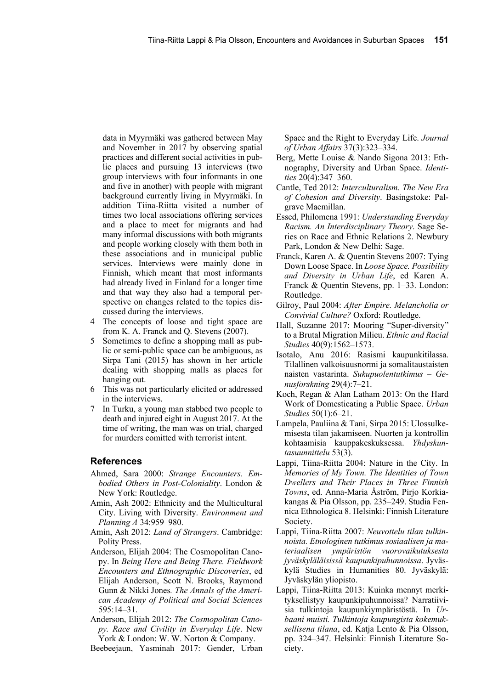data in Myyrmäki was gathered between May and November in 2017 by observing spatial practices and different social activities in public places and pursuing 13 interviews (two group interviews with four informants in one and five in another) with people with migrant background currently living in Myyrmäki. In addition Tiina-Riitta visited a number of times two local associations offering services and a place to meet for migrants and had many informal discussions with both migrants and people working closely with them both in these associations and in municipal public services. Interviews were mainly done in Finnish, which meant that most informants had already lived in Finland for a longer time and that way they also had a temporal perspective on changes related to the topics discussed during the interviews.

- 4 The concepts of loose and tight space are from K. A. Franck and Q. Stevens (2007).
- 5 Sometimes to define a shopping mall as public or semi-public space can be ambiguous, as Sirpa Tani (2015) has shown in her article dealing with shopping malls as places for hanging out.
- 6 This was not particularly elicited or addressed in the interviews.
- In Turku, a young man stabbed two people to death and injured eight in August 2017. At the time of writing, the man was on trial, charged for murders comitted with terrorist intent.

#### **References**

- Ahmed, Sara 2000: *Strange Encounters. Embodied Others in Post-Coloniality*. London & New York: Routledge.
- Amin, Ash 2002: Ethnicity and the Multicultural City. Living with Diversity. *Environment and Planning A* 34:959–980.
- Amin, Ash 2012: *Land of Strangers*. Cambridge: Polity Press.
- Anderson, Elijah 2004: The Cosmopolitan Canopy. In *Being Here and Being There. Fieldwork Encounters and Ethnographic Discoveries*, ed Elijah Anderson, Scott N. Brooks, Raymond Gunn & Nikki Jones*. The Annals of the American Academy of Political and Social Sciences* 595:14–31.
- Anderson, Elijah 2012: *The Cosmopolitan Canopy. Race and Civility in Everyday Life*. New York & London: W. W. Norton & Company.

Beebeejaun, Yasminah 2017: Gender, Urban

Space and the Right to Everyday Life. *Journal of Urban Affairs* 37(3):323–334.

- Berg, Mette Louise & Nando Sigona 2013: Ethnography, Diversity and Urban Space. *Identities* 20(4):347–360.
- Cantle, Ted 2012: *Interculturalism. The New Era of Cohesion and Diversity*. Basingstoke: Palgrave Macmillan.
- Essed, Philomena 1991: *Understanding Everyday Racism. An Interdisciplinary Theory*. Sage Series on Race and Ethnic Relations 2. Newbury Park, London & New Delhi: Sage.
- Franck, Karen A. & Quentin Stevens 2007: Tying Down Loose Space. In *Loose Space. Possibility and Diversity in Urban Life*, ed Karen A. Franck & Quentin Stevens, pp. 1–33. London: Routledge.
- Gilroy, Paul 2004: *After Empire. Melancholia or Convivial Culture?* Oxford: Routledge.
- Hall, Suzanne 2017: Mooring "Super-diversity" to a Brutal Migration Milieu. *Ethnic and Racial Studies* 40(9):1562‒1573.
- Isotalo, Anu 2016: Rasismi kaupunkitilassa. Tilallinen valkoisuusnormi ja somalitaustaisten naisten vastarinta. *Sukupuolentutkimus* – *Genusforskning* 29(4):7–21.
- Koch, Regan & Alan Latham 2013: On the Hard Work of Domesticating a Public Space. *Urban Studies* 50(1):6–21.
- Lampela, Pauliina & Tani, Sirpa 2015: Ulossulkemisesta tilan jakamiseen. Nuorten ja kontrollin kohtaamisia kauppakeskuksessa. *Yhdyskuntasuunnittelu* 53(3).
- Lappi, Tiina-Riitta 2004: Nature in the City. In *Memories of My Town. The Identities of Town Dwellers and Their Places in Three Finnish Towns*, ed. Anna-Maria Åström, Pirjo Korkiakangas & Pia Olsson, pp. 235–249. Studia Fennica Ethnologica 8. Helsinki: Finnish Literature Society.
- Lappi, Tiina-Riitta 2007: *Neuvottelu tilan tulkinnoista. Etnologinen tutkimus sosiaalisen ja materiaalisen ympäristön vuorovaikutuksesta jyväskyläläisissä kaupunkipuhunnoissa*. Jyväskylä Studies in Humanities 80. Jyväskylä: Jyväskylän yliopisto.
- Lappi, Tiina-Riitta 2013: Kuinka mennyt merkityksellistyy kaupunkipuhunnoissa? Narratiivisia tulkintoja kaupunkiympäristöstä. In *Urbaani muisti. Tulkintoja kaupungista kokemuksellisena tilana*, ed. Katja Lento & Pia Olsson, pp. 324–347. Helsinki: Finnish Literature Society.